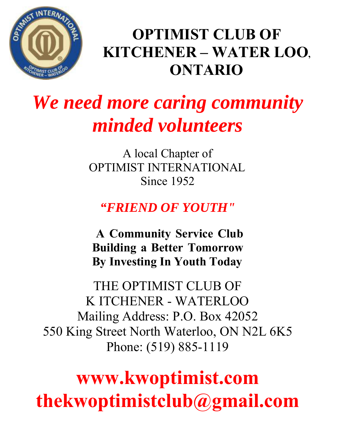

### **OPTIMIST CLUB OF KITCHENER – WATER LOO, ONTARIO**

### *We need more caring community minded volunteers*

A local Chapter of OPTIMIST INTERNATIONAL Since 1952

#### *"FRIEND OF YOUTH"*

**A Community Service Club Building a Better Tomorrow By Investing In Youth Today**

THE OPTIMIST CLUB OF K ITCHENER - WATERLOO Mailing Address: P.O. Box 42052 550 King Street North Waterloo, ON N2L 6K5 Phone: (519) 885-1119

### **www.kwoptimist.com thekwoptimistclub@gmail.com**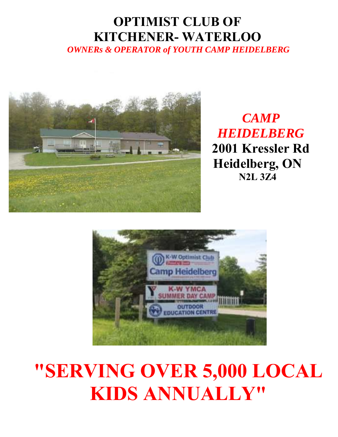#### **OPTIMIST CLUB OF KITCHENER- WATERLOO**

*OWNERs & OPERATOR of YOUTH CAMP HEIDELBERG*



 *CAMP HEIDELBERG*  **2001 Kressler Rd Heidelberg, ON N2L 3Z4** 



### **"SERVING OVER 5,000 LOCAL KIDS ANNUALLY"**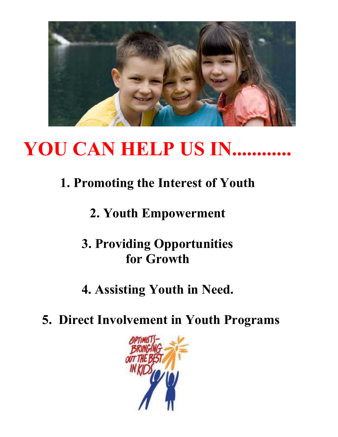

### **YOU CAN HELP US IN............**

#### **1. Promoting the Interest of Youth**

#### **2. Youth Empowerment**

#### **3. Providing Opportunities for Growth**

#### **4. Assisting Youth in Need.**

**5. Direct Involvement in Youth Programs**

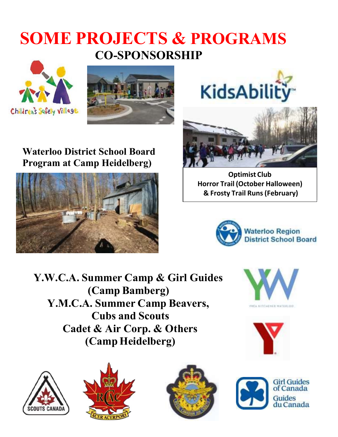#### **SOME PROJECTS & PROGRAMS CO-SPONSORSHIP**





# KidsAbility



**Optimist Club Horror Trail (October Halloween) & Frosty Trail Runs (February)**



**Y.W.C.A. Summer Camp & Girl Guides (Camp Bamberg) Y.M.C.A. Summer Camp Beavers, Cubs and Scouts Cadet & Air Corp. & Others (Camp Heidelberg)**















**Waterloo District School Board** 

**Program at Camp Heidelberg)**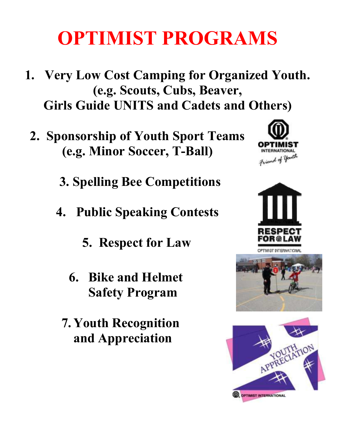### **OPTIMIST PROGRAMS**

- **1. Very Low Cost Camping for Organized Youth. (e.g. Scouts, Cubs, Beaver, Girls Guide UNITS and Cadets and Others)**
	- **2. Sponsorship of Youth Sport Teams (e.g. Minor Soccer, T-Ball)**
		- **3. Spelling Bee Competitions**
		- **4. Public Speaking Contests**
			- **5. Respect for Law**
			- **6. Bike and Helmet Safety Program**
			- **7. Youth Recognition and Appreciation**







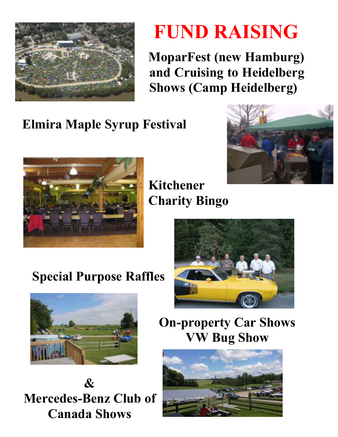

### **FUND RAISING**

**MoparFest (new Hamburg) and Cruising to Heidelberg Shows (Camp Heidelberg)**

#### **Elmira Maple Syrup Festival**





**Kitchener Charity Bingo**



#### **Special Purpose Raffles**



**& Mercedes-Benz Club of Canada Shows**

**On-property Car Shows VW Bug Show**